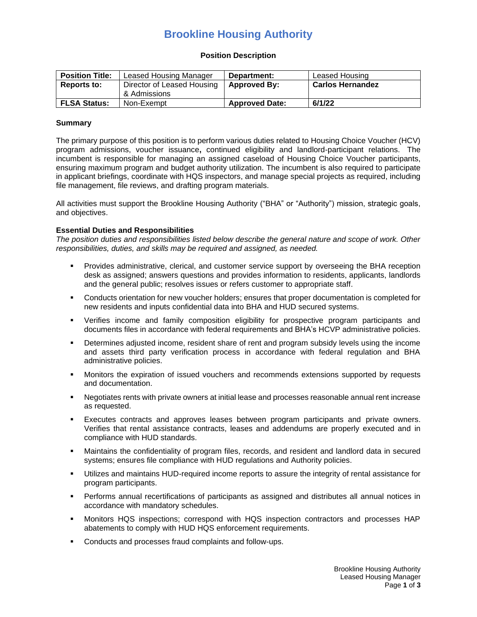## **Brookline Housing Authority**

#### **Position Description**

| <b>Position Title:</b> | Leased Housing Manager                     | Department:           | Leased Housing          |
|------------------------|--------------------------------------------|-----------------------|-------------------------|
| Reports to:            | Director of Leased Housing<br>& Admissions | Approved By:          | <b>Carlos Hernandez</b> |
| <b>FLSA Status:</b>    | Non-Exempt                                 | <b>Approved Date:</b> | 6/1/22                  |

#### **Summary**

The primary purpose of this position is to perform various duties related to Housing Choice Voucher (HCV) program admissions, voucher issuance**,** continued eligibility and landlord-participant relations. The incumbent is responsible for managing an assigned caseload of Housing Choice Voucher participants, ensuring maximum program and budget authority utilization. The incumbent is also required to participate in applicant briefings, coordinate with HQS inspectors, and manage special projects as required, including file management, file reviews, and drafting program materials.

All activities must support the Brookline Housing Authority ("BHA" or "Authority") mission, strategic goals, and objectives.

### **Essential Duties and Responsibilities**

*The position duties and responsibilities listed below describe the general nature and scope of work. Other responsibilities, duties, and skills may be required and assigned, as needed.*

- Provides administrative, clerical, and customer service support by overseeing the BHA reception desk as assigned; answers questions and provides information to residents, applicants, landlords and the general public; resolves issues or refers customer to appropriate staff.
- Conducts orientation for new voucher holders; ensures that proper documentation is completed for new residents and inputs confidential data into BHA and HUD secured systems.
- Verifies income and family composition eligibility for prospective program participants and documents files in accordance with federal requirements and BHA's HCVP administrative policies.
- Determines adjusted income, resident share of rent and program subsidy levels using the income and assets third party verification process in accordance with federal regulation and BHA administrative policies.
- Monitors the expiration of issued vouchers and recommends extensions supported by requests and documentation.
- Negotiates rents with private owners at initial lease and processes reasonable annual rent increase as requested.
- Executes contracts and approves leases between program participants and private owners. Verifies that rental assistance contracts, leases and addendums are properly executed and in compliance with HUD standards.
- Maintains the confidentiality of program files, records, and resident and landlord data in secured systems; ensures file compliance with HUD regulations and Authority policies.
- Utilizes and maintains HUD-required income reports to assure the integrity of rental assistance for program participants.
- **•** Performs annual recertifications of participants as assigned and distributes all annual notices in accordance with mandatory schedules.
- Monitors HQS inspections; correspond with HQS inspection contractors and processes HAP abatements to comply with HUD HQS enforcement requirements.
- Conducts and processes fraud complaints and follow-ups.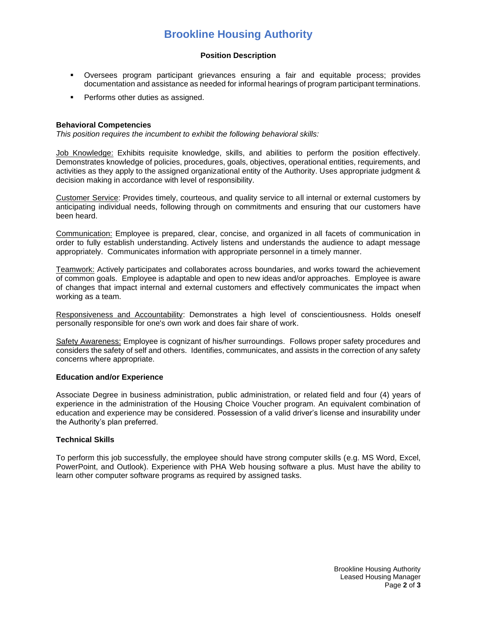# **Brookline Housing Authority**

### **Position Description**

- Oversees program participant grievances ensuring a fair and equitable process; provides documentation and assistance as needed for informal hearings of program participant terminations.
- **•** Performs other duties as assigned.

### **Behavioral Competencies**

*This position requires the incumbent to exhibit the following behavioral skills:*

Job Knowledge: Exhibits requisite knowledge, skills, and abilities to perform the position effectively. Demonstrates knowledge of policies, procedures, goals, objectives, operational entities, requirements, and activities as they apply to the assigned organizational entity of the Authority. Uses appropriate judgment & decision making in accordance with level of responsibility.

Customer Service: Provides timely, courteous, and quality service to all internal or external customers by anticipating individual needs, following through on commitments and ensuring that our customers have been heard.

Communication: Employee is prepared, clear, concise, and organized in all facets of communication in order to fully establish understanding. Actively listens and understands the audience to adapt message appropriately. Communicates information with appropriate personnel in a timely manner.

Teamwork: Actively participates and collaborates across boundaries, and works toward the achievement of common goals. Employee is adaptable and open to new ideas and/or approaches. Employee is aware of changes that impact internal and external customers and effectively communicates the impact when working as a team.

Responsiveness and Accountability: Demonstrates a high level of conscientiousness. Holds oneself personally responsible for one's own work and does fair share of work.

Safety Awareness: Employee is cognizant of his/her surroundings. Follows proper safety procedures and considers the safety of self and others. Identifies, communicates, and assists in the correction of any safety concerns where appropriate.

## **Education and/or Experience**

Associate Degree in business administration, public administration, or related field and four (4) years of experience in the administration of the Housing Choice Voucher program. An equivalent combination of education and experience may be considered. Possession of a valid driver's license and insurability under the Authority's plan preferred.

#### **Technical Skills**

To perform this job successfully, the employee should have strong computer skills (e.g. MS Word, Excel, PowerPoint, and Outlook). Experience with PHA Web housing software a plus. Must have the ability to learn other computer software programs as required by assigned tasks.